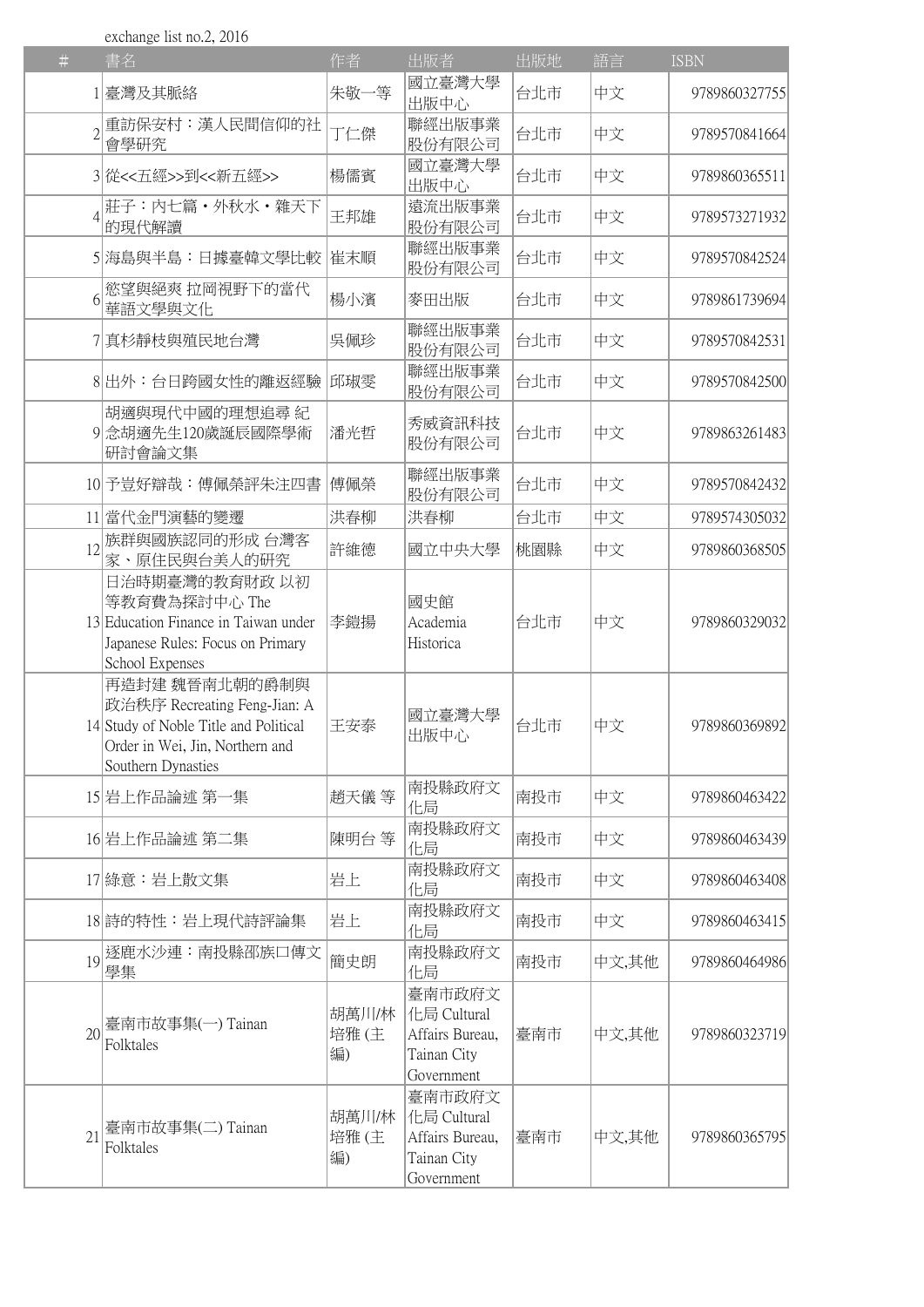exchange list no.2, 2016

| $\#$ | 書名                                                                                                                                                | 作者                  | 出版者                                                                    | 出版地 | 語言    | <b>ISBN</b>   |
|------|---------------------------------------------------------------------------------------------------------------------------------------------------|---------------------|------------------------------------------------------------------------|-----|-------|---------------|
|      | 1 臺灣及其脈絡                                                                                                                                          | 朱敬一等                | 國立臺灣大學<br>出版中心                                                         | 台北市 | 中文    | 9789860327755 |
|      | 重訪保安村:漢人民間信仰的社<br>會學研究                                                                                                                            | 丁仁傑                 | 聯經出版事業<br>股份有限公司                                                       | 台北市 | 中文    | 9789570841664 |
|      | 3 從<<五經>>到<<新五經>>                                                                                                                                 | 楊儒賓                 | 國立臺灣大學<br>出版中心                                                         | 台北市 | 中文    | 9789860365511 |
|      | 莊子:內七篇・外秋水・雜天下<br>的現代解讀                                                                                                                           | 王邦雄                 | 遠流出版事業<br>股份有限公司                                                       | 台北市 | 中文    | 9789573271932 |
|      | 5 海島與半島:日據臺韓文學比較                                                                                                                                  | 崔末順                 | 聯經出版事業<br>股份有限公司                                                       | 台北市 | 中文    | 9789570842524 |
| 6    | 慾望與絕爽 拉岡視野下的當代<br>華語文學與文化                                                                                                                         | 楊小濱                 | 麥田出版                                                                   | 台北市 | 中文    | 9789861739694 |
|      | 7 真杉靜枝與殖民地台灣                                                                                                                                      | 吳佩珍                 | 聯經出版事業<br>股份有限公司                                                       | 台北市 | 中文    | 9789570842531 |
|      | 8 出外:台日跨國女性的離返經驗                                                                                                                                  | 邱琡雯                 | 聯經出版事業<br>股份有限公司                                                       | 台北市 | 中文    | 9789570842500 |
|      | 胡適與現代中國的理想追尋紀<br>9念胡適先生120歲誕辰國際學術<br>研討會論文集                                                                                                       | 潘光哲                 | 秀威資訊科技<br>股份有限公司                                                       | 台北市 | 中文    | 9789863261483 |
|      | 10 予豈好辯哉:傅佩榮評朱注四書                                                                                                                                 | 傅佩榮                 | 聯經出版事業<br>股份有限公司                                                       | 台北市 | 中文    | 9789570842432 |
|      | 11 當代金門演藝的變遷                                                                                                                                      | 洪春柳                 | 洪春柳                                                                    | 台北市 | 中文    | 9789574305032 |
| 12   | 族群與國族認同的形成 台灣客<br>家、原住民與台美人的研究                                                                                                                    | 許維德                 | 國立中央大學                                                                 | 桃園縣 | 中文    | 9789860368505 |
|      | 日治時期臺灣的教育財政 以初<br>等教育費為探討中心 The<br>13 Education Finance in Taiwan under<br>Japanese Rules: Focus on Primary<br>School Expenses                    | 李鎧揚                 | 國史館<br>Academia<br>Historica                                           | 台北市 | 中文    | 9789860329032 |
|      | 再造封建 魏晉南北朝的爵制與<br> 政治秩序 Recreating Feng-Jian: A<br>14 Study of Noble Title and Political<br>Order in Wei, Jin, Northern and<br>Southern Dynasties | 王安泰                 | 國立臺灣大學<br>出版中心                                                         | 台北市 | 中文    | 9789860369892 |
|      | 15 岩上作品論述 第一集                                                                                                                                     | 趙天儀 等               | 南投縣政府文<br>化局                                                           | 南投市 | 中文    | 9789860463422 |
|      | 16 岩上作品論述 第二集                                                                                                                                     | 陳明台 等               | 南投縣政府文<br>化局                                                           | 南投市 | 中文    | 9789860463439 |
|      | 17 綠意:岩上散文集                                                                                                                                       | 岩上                  | 南投縣政府文<br>化局                                                           | 南投市 | 中文    | 9789860463408 |
|      | 18 詩的特性:岩上現代詩評論集                                                                                                                                  | 岩上                  | 南投縣政府文<br>化局                                                           | 南投市 | 中文    | 9789860463415 |
| 19   | 逐鹿水沙連:南投縣邵族口傳文<br>學集                                                                                                                              | 簡史朗                 | 南投縣政府文<br>化局                                                           | 南投市 | 中文,其他 | 9789860464986 |
| 20   | 臺南市故事集(一) Tainan<br>Folktales                                                                                                                     | 胡萬川/林<br>培雅(主<br>編) | 臺南市政府文<br>化局 Cultural<br>Affairs Bureau,<br>Tainan City<br>Government  | 臺南市 | 中文,其他 | 9789860323719 |
| 21   | 臺南市故事集(二) Tainan<br>Folktales                                                                                                                     | 胡萬川/林<br>培雅(主<br>編) | 臺南市政府文<br> 化局 Cultural<br>Affairs Bureau,<br>Tainan City<br>Government | 臺南市 | 中文,其他 | 9789860365795 |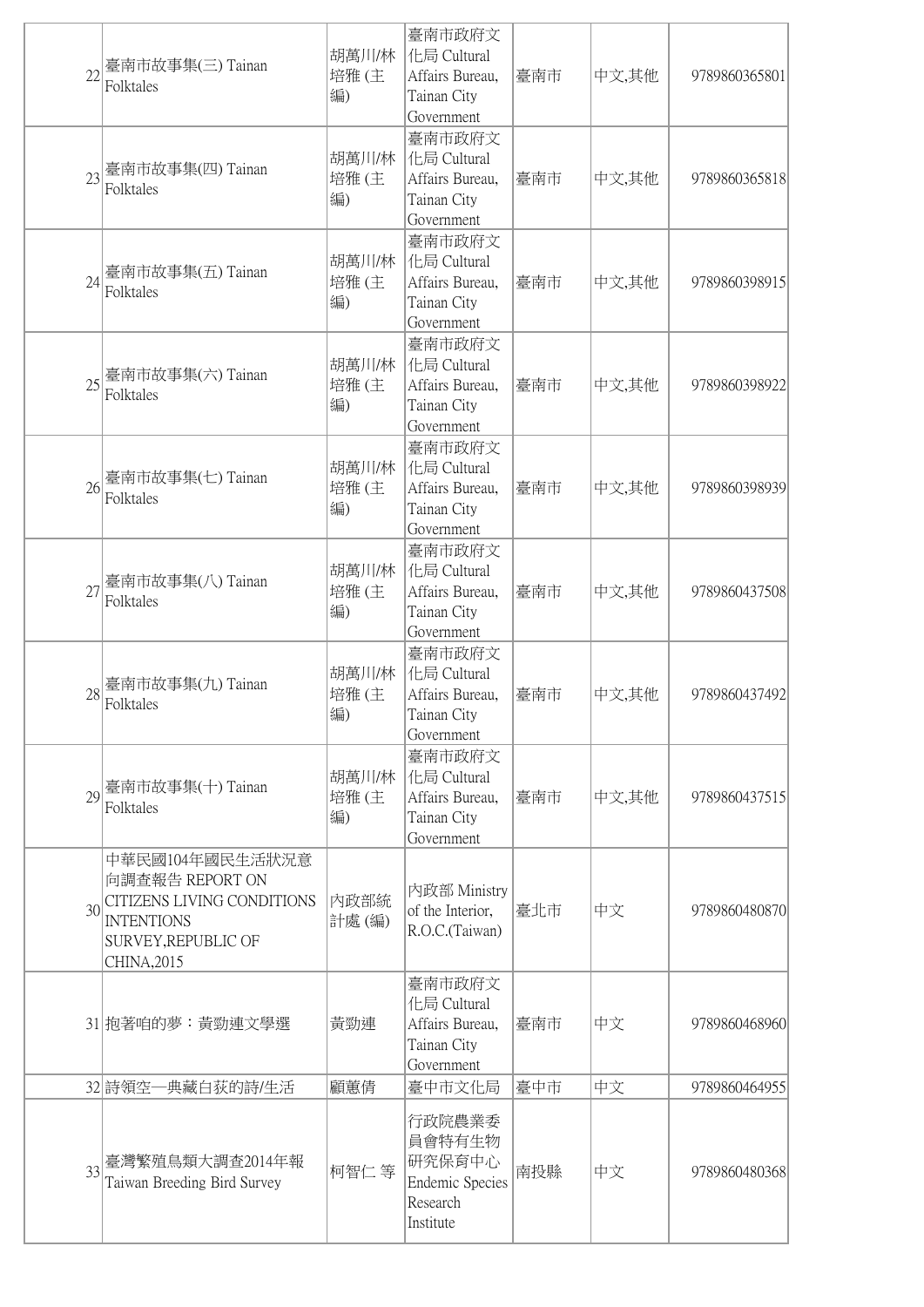| 22              | 臺南市故事集(三) Tainan<br>Folktales                                                                                               | 胡萬川/林<br>培雅(主<br>編) | 臺南市政府文<br>化局 Cultural<br>Affairs Bureau,<br>Tainan City<br>Government         | 臺南市 | 中文,其他 | 9789860365801 |
|-----------------|-----------------------------------------------------------------------------------------------------------------------------|---------------------|-------------------------------------------------------------------------------|-----|-------|---------------|
| 23              | 臺南市故事集(四) Tainan<br>Folktales                                                                                               | 胡萬川/林<br>培雅(主<br>編) | 臺南市政府文<br>化局 Cultural<br>Affairs Bureau,<br>Tainan City<br>Government         | 臺南市 | 中文,其他 | 9789860365818 |
| 24              | 臺南市故事集(五) Tainan<br>Folktales                                                                                               | 胡萬川/林<br>培雅(主<br>編) | 臺南市政府文<br>化局 Cultural<br>Affairs Bureau,<br>Tainan City<br>Government         | 臺南市 | 中文,其他 | 9789860398915 |
| 25              | 臺南市故事集(六) Tainan<br>Folktales                                                                                               | 胡萬川/林<br>培雅(主<br>編) | 臺南市政府文<br>化局 Cultural<br>Affairs Bureau,<br>Tainan City<br>Government         | 臺南市 | 中文,其他 | 9789860398922 |
| 26              | 臺南市故事集(七) Tainan<br>Folktales                                                                                               | 胡萬川/林<br>培雅(主<br>編) | 臺南市政府文<br>化局 Cultural<br>Affairs Bureau,<br>Tainan City<br>Government         | 臺南市 | 中文,其他 | 9789860398939 |
| 27              | 臺南市故事集(八) Tainan<br>Folktales                                                                                               | 胡萬川/林<br>培雅(主<br>編) | 臺南市政府文<br>化局 Cultural<br>Affairs Bureau,<br>Tainan City<br>Government         | 臺南市 | 中文,其他 | 9789860437508 |
| 28              | 臺南市故事集(九) Tainan<br>Folktales                                                                                               | 胡萬川/林<br>培雅(主<br>編) | 臺南市政府文<br>化局 Cultural<br>Affairs Bureau,<br>Tainan City<br>Government         | 臺南市 | 中文,其他 | 9789860437492 |
|                 | 29 臺南市故事集(十) Tainan<br>Folktales                                                                                            | 胡萬川/林<br>培雅(主<br>編) | 臺南市政府文<br>化局 Cultural<br>Affairs Bureau,<br>Tainan City<br>Government         | 臺南市 | 中文,其他 | 9789860437515 |
| 30 <sup>l</sup> | 中華民國104年國民生活狀況意<br>向調查報告 REPORT ON<br>CITIZENS LIVING CONDITIONS<br><b>INTENTIONS</b><br>SURVEY, REPUBLIC OF<br>CHINA, 2015 | 内政部統<br>計處(編)       | 內政部 Ministry<br>of the Interior,<br>R.O.C.(Taiwan)                            | 臺北市 | 中文    | 9789860480870 |
|                 | 31 抱著咱的夢:黃勁連文學選                                                                                                             | 黃勁連                 | 臺南市政府文<br>化局 Cultural<br>Affairs Bureau,<br>Tainan City<br>Government         | 臺南市 | 中文    | 9789860468960 |
|                 | 32 詩領空一典藏白荻的詩/生活                                                                                                            | 顧蕙倩                 | 臺中市文化局                                                                        | 臺中市 | 中文    | 9789860464955 |
| 33              | 臺灣繁殖鳥類大調查2014年報<br>Taiwan Breeding Bird Survey                                                                              | 柯智仁 等               | 行政院農業委<br>員會特有生物<br>研究保育中心<br><b>Endemic Species</b><br>Research<br>Institute | 南投縣 | 中文    | 9789860480368 |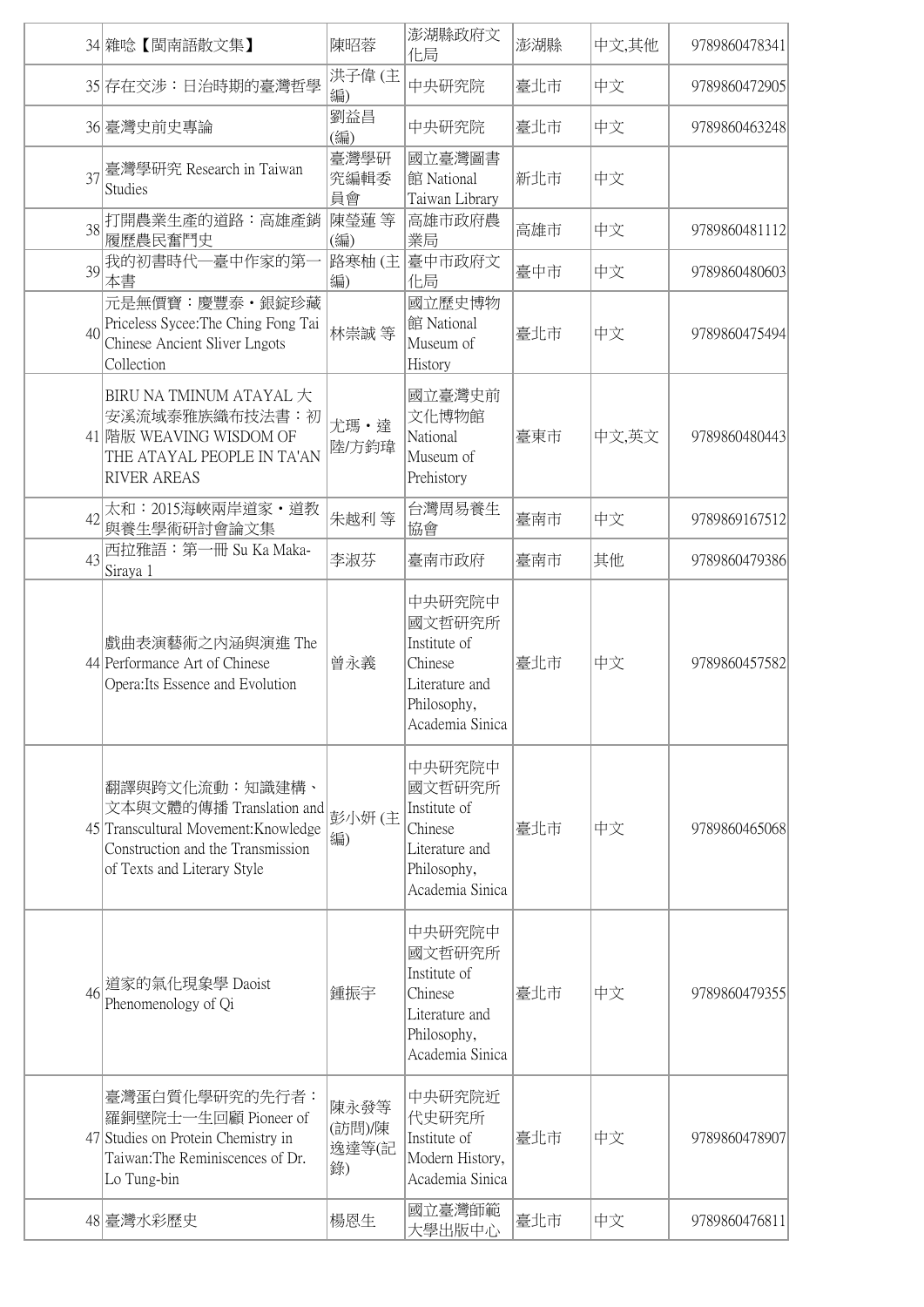|                 | 34 雜唸【閩南語散文集】                                                                                                                                          | 陳昭蓉                           | 澎湖縣政府文<br>化局                                                                                    | 澎湖縣 | 中文,其他 | 9789860478341 |
|-----------------|--------------------------------------------------------------------------------------------------------------------------------------------------------|-------------------------------|-------------------------------------------------------------------------------------------------|-----|-------|---------------|
|                 | 35 存在交涉:日治時期的臺灣哲學                                                                                                                                      | 洪子偉(主<br>編)                   | 中央研究院                                                                                           | 臺北市 | 中文    | 9789860472905 |
|                 | 36 臺灣史前史專論                                                                                                                                             | 劉益昌<br>(編)                    | 中央研究院                                                                                           | 臺北市 | 中文    | 9789860463248 |
| 37              | 臺灣學研究 Research in Taiwan<br><b>Studies</b>                                                                                                             | 臺灣學研<br>究編輯委<br>員會            | 國立臺灣圖書<br>館 National<br>Taiwan Library                                                          | 新北市 | 中文    |               |
|                 | 38 打開農業生產的道路:高雄產銷<br>履歷農民奮鬥史                                                                                                                           | 陳瑩蓮 等<br>(編)                  | 高雄市政府農<br>業局                                                                                    | 高雄市 | 中文    | 9789860481112 |
|                 | 39我的初書時代一臺中作家的第一<br>本書                                                                                                                                 | 路寒柚(主<br>編)                   | 臺中市政府文<br>化局                                                                                    | 臺中市 | 中文    | 9789860480603 |
| 40 <sup>l</sup> | 元是無價寶: 慶豐泰 · 銀錠珍藏<br>Priceless Sycee: The Ching Fong Tai<br>Chinese Ancient Sliver Lngots<br>Collection                                                | 林崇誠 等                         | 國立歷史博物<br>館 National<br>Museum of<br>History                                                    | 臺北市 | 中文    | 9789860475494 |
|                 | BIRU NA TMINUM ATAYAL 大<br>安溪流域泰雅族織布技法書:初<br>41 階版 WEAVING WISDOM OF<br>THE ATAYAL PEOPLE IN TA'AN<br><b>RIVER AREAS</b>                               | 尤瑪·達<br>陸/方鈞瑋                 | 國立臺灣史前<br>文化博物館<br>National<br>Museum of<br>Prehistory                                          | 臺東市 | 中文,英文 | 9789860480443 |
| 42              | 太和: 2015海峽兩岸道家·道教<br>與養生學術研討會論文集                                                                                                                       | 朱越利 等                         | 台灣周易養生<br>協會                                                                                    | 臺南市 | 中文    | 9789869167512 |
| 43              | 西拉雅語: 第一冊 Su Ka Maka-<br>Siraya 1                                                                                                                      | 李淑芬                           | 臺南市政府                                                                                           | 臺南市 | 其他    | 9789860479386 |
|                 | 戲曲表演藝術之內涵與演進 The<br>44 Performance Art of Chinese<br>Opera: Its Essence and Evolution                                                                  | 曾永義                           | 中央研究院中<br>國文哲研究所<br>Institute of<br>Chinese<br>Literature and<br>Philosophy,<br>Academia Sinica | 臺北市 | 中文    | 9789860457582 |
|                 | 翻譯與跨文化流動:知識建構、<br>文本與文體的傳播 Translation and<br>45 Transcultural Movement: Knowledge<br>Construction and the Transmission<br>of Texts and Literary Style | 彭小妍(主<br>編)                   | 中央研究院中<br>國文哲研究所<br>Institute of<br>Chinese<br>Literature and<br>Philosophy,<br>Academia Sinica | 臺北市 | 中文    | 9789860465068 |
| 46              | 道家的氣化現象學 Daoist<br>Phenomenology of Qi                                                                                                                 | 鍾振宇                           | 中央研究院中<br>國文哲研究所<br>Institute of<br>Chinese<br>Literature and<br>Philosophy,<br>Academia Sinica | 臺北市 | 中文    | 9789860479355 |
|                 | 臺灣蛋白質化學研究的先行者:<br>羅銅壁院士一生回顧 Pioneer of<br>47 Studies on Protein Chemistry in<br>Taiwan: The Reminiscences of Dr.<br>Lo Tung-bin                        | 陳永發等<br>(訪問)/陳<br>逸達等(記<br>錄) | 中央研究院近<br>代史研究所<br>Institute of<br>Modern History,<br>Academia Sinica                           | 臺北市 | 中文    | 9789860478907 |
|                 | 48 臺灣水彩歷史                                                                                                                                              | 楊恩生                           | 國立臺灣師範<br>大學出版中心                                                                                | 臺北市 | 中文    | 9789860476811 |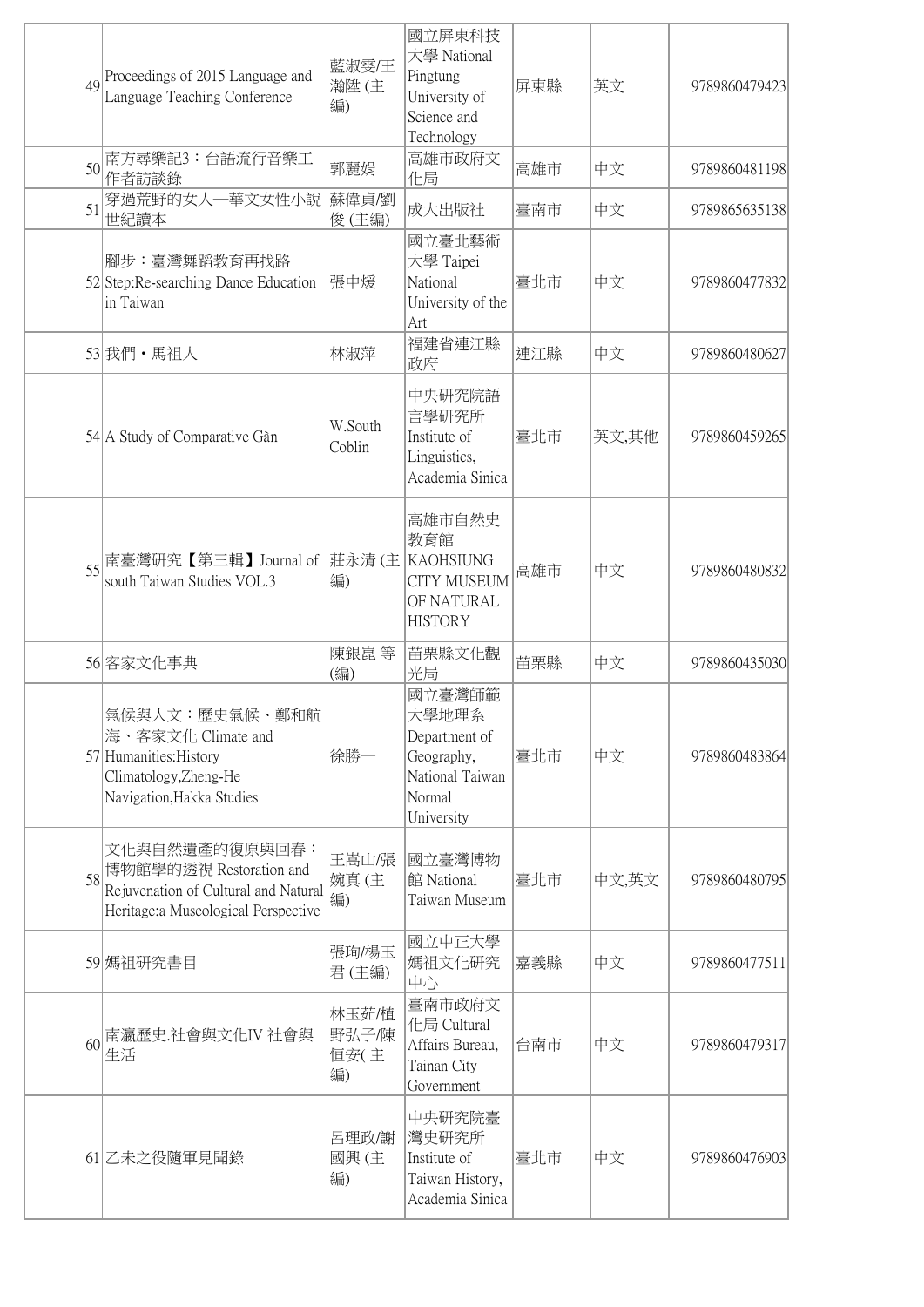| $\Delta Q$      | Proceedings of 2015 Language and<br>Language Teaching Conference                                                             | 藍淑雯/王<br>瀚陞(主<br>編)          | 國立屏東科技<br>大學 National<br>Pingtung<br>University of<br>Science and<br>Technology           | 屏東縣 | 英文    | 9789860479423 |
|-----------------|------------------------------------------------------------------------------------------------------------------------------|------------------------------|-------------------------------------------------------------------------------------------|-----|-------|---------------|
| 50 <sup>l</sup> | 南方尋樂記3:台語流行音樂工<br>作者訪談錄                                                                                                      | 郭麗娟                          | 高雄市政府文<br>化局                                                                              | 高雄市 | 中文    | 9789860481198 |
| 51              | 穿過荒野的女人一華文女性小說<br>世紀讀本                                                                                                       | 蘇偉貞/劉<br>俊(主編)               | 成大出版社                                                                                     | 臺南市 | 中文    | 9789865635138 |
|                 | 腳步:臺灣舞蹈教育再找路<br>52 Step: Re-searching Dance Education<br>in Taiwan                                                           | 張中煖                          | 國立臺北藝術<br>大學 Taipei<br>National<br>University of the<br>Art                               | 臺北市 | 中文    | 9789860477832 |
|                 | 53 我們・馬祖人                                                                                                                    | 林淑萍                          | 福建省連江縣<br>政府                                                                              | 連江縣 | 中文    | 9789860480627 |
|                 | 54 A Study of Comparative Gàn                                                                                                | W.South<br>Coblin            | 中央研究院語<br>言學研究所<br>Institute of<br>Linguistics,<br>Academia Sinica                        | 臺北市 | 英文,其他 | 9789860459265 |
| 55              | 南臺灣研究【第三輯】Journal of  莊永清 (主 KAOHSIUNG<br>south Taiwan Studies VOL.3                                                         | 編)                           | 高雄市自然史<br>教育館<br><b>CITY MUSEUM</b><br>OF NATURAL<br><b>HISTORY</b>                       | 高雄市 | 中文    | 9789860480832 |
|                 | 56 客家文化事典                                                                                                                    | 陳銀崑 等<br>(編)                 | 苗栗縣文化觀<br>光局                                                                              | 苗栗縣 | 中文    | 9789860435030 |
|                 | 氣候與人文:歷史氣候、鄭和航<br>海、客家文化 Climate and<br>57 Humanities: History<br>Climatology, Zheng-He<br>Navigation, Hakka Studies         | 徐勝一                          | 國立臺灣師範<br>大學地理系<br>Department of<br>Geography,<br>National Taiwan<br>Normal<br>University | 臺北市 | 中文    | 9789860483864 |
|                 | 文化與自然遺產的復原與回春:<br>58 博物館學的透視 Restoration and<br>Rejuvenation of Cultural and Natural<br>Heritage: a Museological Perspective | 王嵩山/張<br>婉真(主<br>編)          | 國立臺灣博物<br>館 National<br>Taiwan Museum                                                     | 臺北市 | 中文,英文 | 9789860480795 |
|                 | 59 媽祖研究書目                                                                                                                    | 張珣/楊玉<br>君(主編)               | 國立中正大學<br>媽祖文化研究<br>中心                                                                    | 嘉義縣 | 中文    | 9789860477511 |
| 60              | 南瀛歷史.社會與文化IV 社會與<br>生活                                                                                                       | 林玉茹/植<br>野弘子/陳<br>恒安(主<br>編) | 臺南市政府文<br>化局 Cultural<br>Affairs Bureau,<br>Tainan City<br>Government                     | 台南市 | 中文    | 9789860479317 |
|                 | 61 乙未之役隨軍見聞錄                                                                                                                 | 呂理政/謝<br>國興(主<br>編)          | 中央研究院臺<br>灣史研究所<br>Institute of<br>Taiwan History,<br>Academia Sinica                     | 臺北市 | 中文    | 9789860476903 |